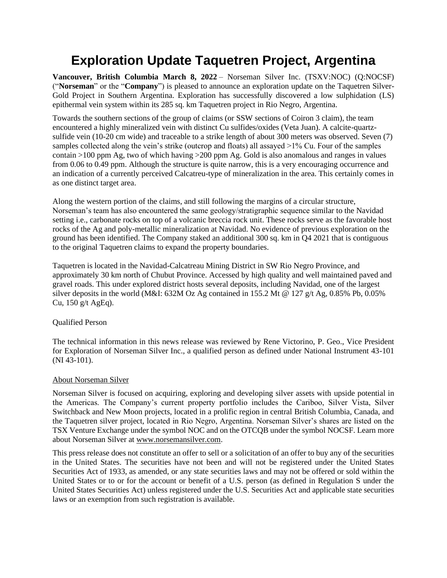## **Exploration Update Taquetren Project, Argentina**

**Vancouver, British Columbia March 8, 2022** – Norseman Silver Inc. (TSXV:NOC) (Q:NOCSF) ("**Norseman**" or the "**Company**") is pleased to announce an exploration update on the Taquetren Silver-Gold Project in Southern Argentina. Exploration has successfully discovered a low sulphidation (LS) epithermal vein system within its 285 sq. km Taquetren project in Rio Negro, Argentina.

Towards the southern sections of the group of claims (or SSW sections of Coiron 3 claim), the team encountered a highly mineralized vein with distinct Cu sulfides/oxides (Veta Juan). A calcite-quartzsulfide vein (10-20 cm wide) and traceable to a strike length of about 300 meters was observed. Seven (7) samples collected along the vein's strike (outcrop and floats) all assayed >1% Cu. Four of the samples contain >100 ppm Ag, two of which having >200 ppm Ag. Gold is also anomalous and ranges in values from 0.06 to 0.49 ppm. Although the structure is quite narrow, this is a very encouraging occurrence and an indication of a currently perceived Calcatreu-type of mineralization in the area. This certainly comes in as one distinct target area.

Along the western portion of the claims, and still following the margins of a circular structure, Norseman's team has also encountered the same geology/stratigraphic sequence similar to the Navidad setting i.e., carbonate rocks on top of a volcanic breccia rock unit. These rocks serve as the favorable host rocks of the Ag and poly-metallic mineralization at Navidad. No evidence of previous exploration on the ground has been identified. The Company staked an additional 300 sq. km in Q4 2021 that is contiguous to the original Taquetren claims to expand the property boundaries.

Taquetren is located in the Navidad-Calcatreau Mining District in SW Rio Negro Province, and approximately 30 km north of Chubut Province. Accessed by high quality and well maintained paved and gravel roads. This under explored district hosts several deposits, including Navidad, one of the largest silver deposits in the world (M&I: 632M Oz Ag contained in 155.2 Mt @ 127 g/t Ag, 0.85% Pb, 0.05% Cu, 150 g/t AgEq).

## Qualified Person

The technical information in this news release was reviewed by Rene Victorino, P. Geo., Vice President for Exploration of Norseman Silver Inc., a qualified person as defined under National Instrument 43-101 (NI 43-101).

## About Norseman Silver

Norseman Silver is focused on acquiring, exploring and developing silver assets with upside potential in the Americas. The Company's current property portfolio includes the Cariboo, Silver Vista, Silver Switchback and New Moon projects, located in a prolific region in central British Columbia, Canada, and the Taquetren silver project, located in Rio Negro, Argentina. Norseman Silver's shares are listed on the TSX Venture Exchange under the symbol NOC and on the OTCQB under the symbol NOCSF. Learn more about Norseman Silver at [www.norsemansilver.com.](http://www.norsemansilver.com/)

This press release does not constitute an offer to sell or a solicitation of an offer to buy any of the securities in the United States. The securities have not been and will not be registered under the United States Securities Act of 1933, as amended, or any state securities laws and may not be offered or sold within the United States or to or for the account or benefit of a U.S. person (as defined in Regulation S under the United States Securities Act) unless registered under the U.S. Securities Act and applicable state securities laws or an exemption from such registration is available.